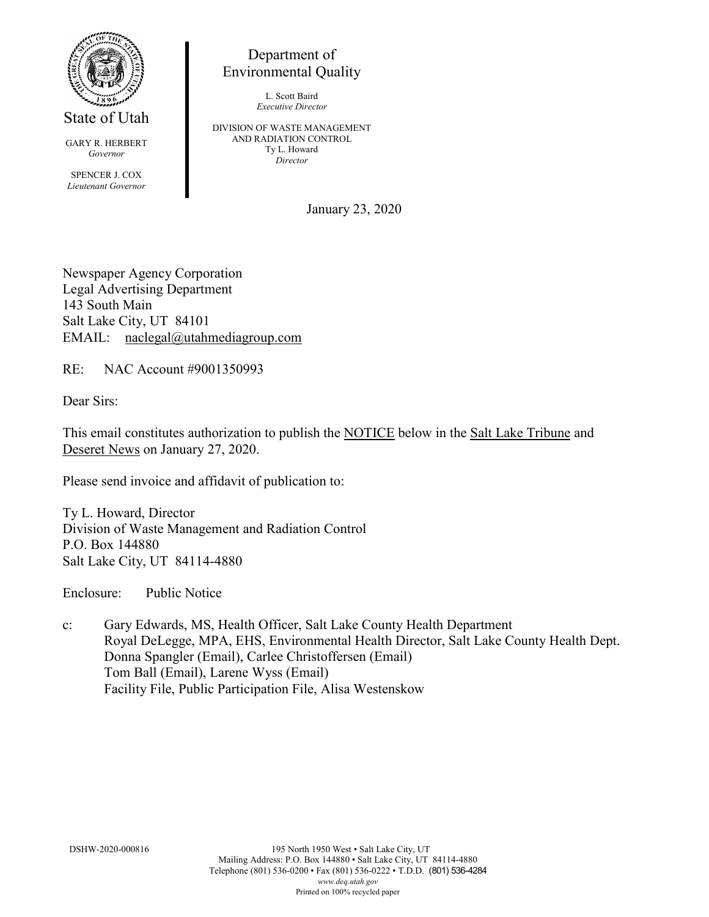

State of Utah

GARY R. HERBERT *Governor* SPENCER J. COX *Lieutenant Governor*

Department of Environmental Quality

> L. Scott Baird *Executive Director*

DIVISION OF WASTE MANAGEMENT AND RADIATION CONTROL Ty L. Howard *Director*

January 23, 2020

Newspaper Agency Corporation Legal Advertising Department 143 South Main Salt Lake City, UT 84101 EMAIL: naclegal@utahmediagroup.com

RE: NAC Account #9001350993

Dear Sirs:

This email constitutes authorization to publish the NOTICE below in the Salt Lake Tribune and Deseret News on January 27, 2020.

Please send invoice and affidavit of publication to:

Ty L. Howard, Director Division of Waste Management and Radiation Control P.O. Box 144880 Salt Lake City, UT 84114-4880

Enclosure: Public Notice

c: Gary Edwards, MS, Health Officer, Salt Lake County Health Department Royal DeLegge, MPA, EHS, Environmental Health Director, Salt Lake County Health Dept. Donna Spangler (Email), Carlee Christoffersen (Email) Tom Ball (Email), Larene Wyss (Email) Facility File, Public Participation File, Alisa Westenskow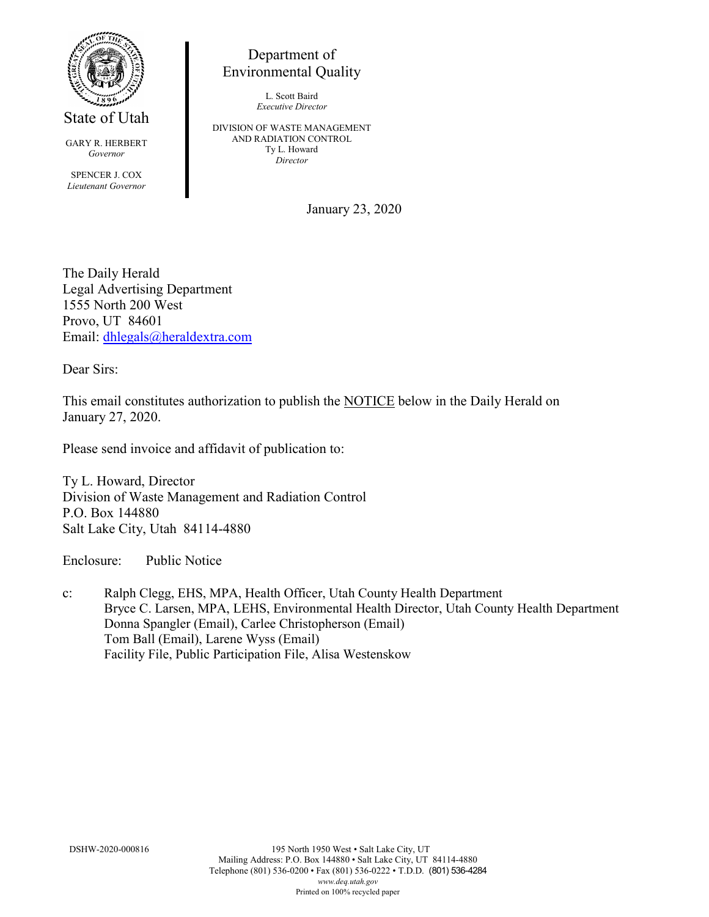

State of Utah

GARY R. HERBERT *Governor*

SPENCER J. COX *Lieutenant Governor*

## Department of Environmental Quality

L. Scott Baird *Executive Director*

DIVISION OF WASTE MANAGEMENT AND RADIATION CONTROL Ty L. Howard *Director*

January 23, 2020

The Daily Herald Legal Advertising Department 1555 North 200 West Provo, UT 84601 Email: [dhlegals@heraldextra.com](mailto:dhlegals@heraldextra.com)

Dear Sirs:

This email constitutes authorization to publish the NOTICE below in the Daily Herald on January 27, 2020.

Please send invoice and affidavit of publication to:

Ty L. Howard, Director Division of Waste Management and Radiation Control P.O. Box 144880 Salt Lake City, Utah 84114-4880

Enclosure: Public Notice

c: Ralph Clegg, EHS, MPA, Health Officer, Utah County Health Department Bryce C. Larsen, MPA, LEHS, Environmental Health Director, Utah County Health Department Donna Spangler (Email), Carlee Christopherson (Email) Tom Ball (Email), Larene Wyss (Email) Facility File, Public Participation File, Alisa Westenskow